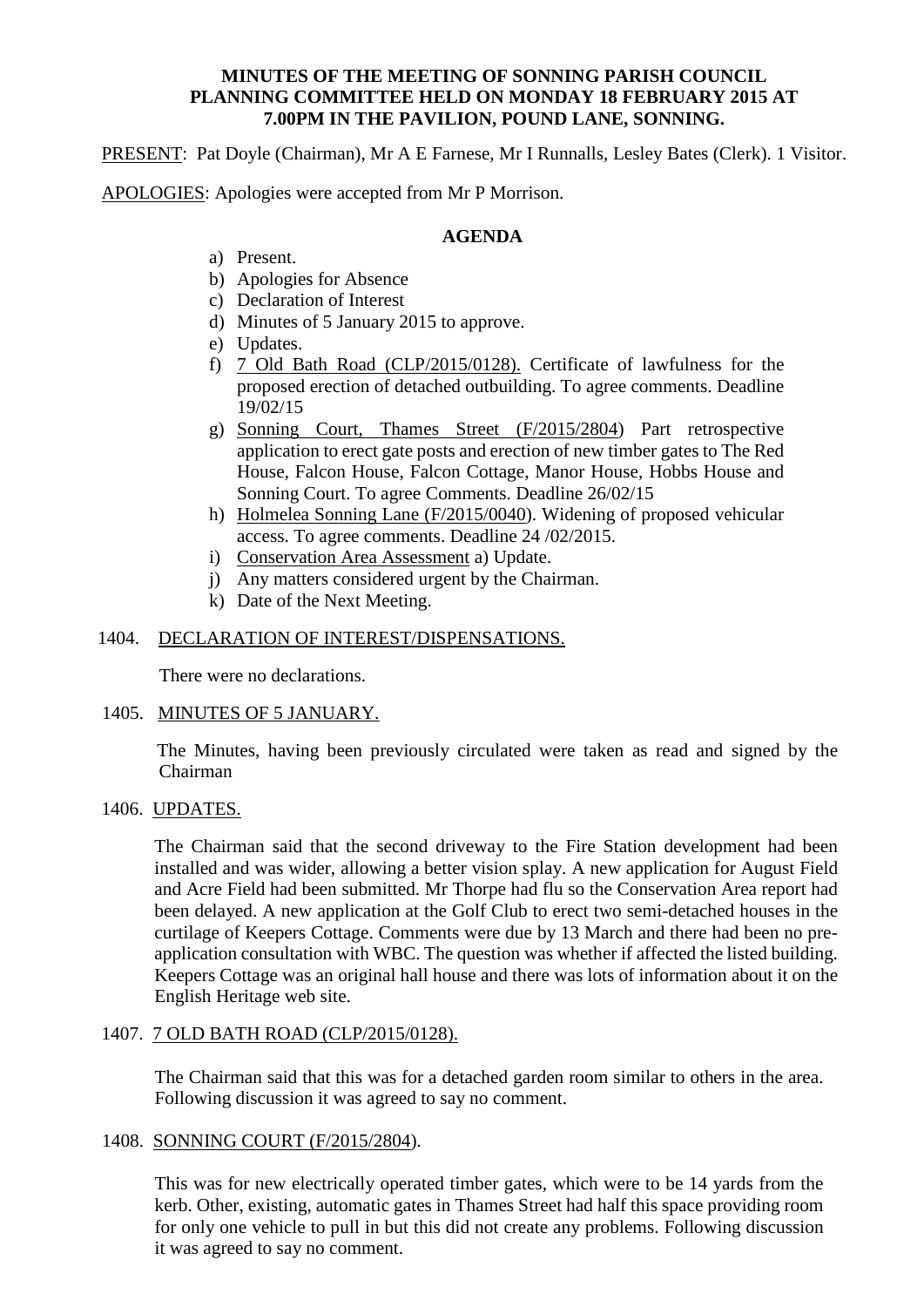# **MINUTES OF THE MEETING OF SONNING PARISH COUNCIL PLANNING COMMITTEE HELD ON MONDAY 18 FEBRUARY 2015 AT 7.00PM IN THE PAVILION, POUND LANE, SONNING.**

PRESENT: Pat Doyle (Chairman), Mr A E Farnese, Mr I Runnalls, Lesley Bates (Clerk). 1 Visitor.

APOLOGIES: Apologies were accepted from Mr P Morrison.

# **AGENDA**

- a) Present.
- b) Apologies for Absence
- c) Declaration of Interest
- d) Minutes of 5 January 2015 to approve.
- e) Updates.
- f) 7 Old Bath Road (CLP/2015/0128). Certificate of lawfulness for the proposed erection of detached outbuilding. To agree comments. Deadline 19/02/15
- g) Sonning Court, Thames Street (F/2015/2804) Part retrospective application to erect gate posts and erection of new timber gates to The Red House, Falcon House, Falcon Cottage, Manor House, Hobbs House and Sonning Court. To agree Comments. Deadline 26/02/15
- h) Holmelea Sonning Lane (F/2015/0040). Widening of proposed vehicular access. To agree comments. Deadline 24 /02/2015.
- i) Conservation Area Assessment a) Update.
- j) Any matters considered urgent by the Chairman.
- k) Date of the Next Meeting.

# 1404. DECLARATION OF INTEREST/DISPENSATIONS.

There were no declarations.

# 1405. MINUTES OF 5 JANUARY.

 The Minutes, having been previously circulated were taken as read and signed by the Chairman

# 1406. UPDATES.

The Chairman said that the second driveway to the Fire Station development had been installed and was wider, allowing a better vision splay. A new application for August Field and Acre Field had been submitted. Mr Thorpe had flu so the Conservation Area report had been delayed. A new application at the Golf Club to erect two semi-detached houses in the curtilage of Keepers Cottage. Comments were due by 13 March and there had been no preapplication consultation with WBC. The question was whether if affected the listed building. Keepers Cottage was an original hall house and there was lots of information about it on the English Heritage web site.

# 1407. 7 OLD BATH ROAD (CLP/2015/0128).

The Chairman said that this was for a detached garden room similar to others in the area. Following discussion it was agreed to say no comment.

# 1408. SONNING COURT (F/2015/2804).

This was for new electrically operated timber gates, which were to be 14 yards from the kerb. Other, existing, automatic gates in Thames Street had half this space providing room for only one vehicle to pull in but this did not create any problems. Following discussion it was agreed to say no comment.